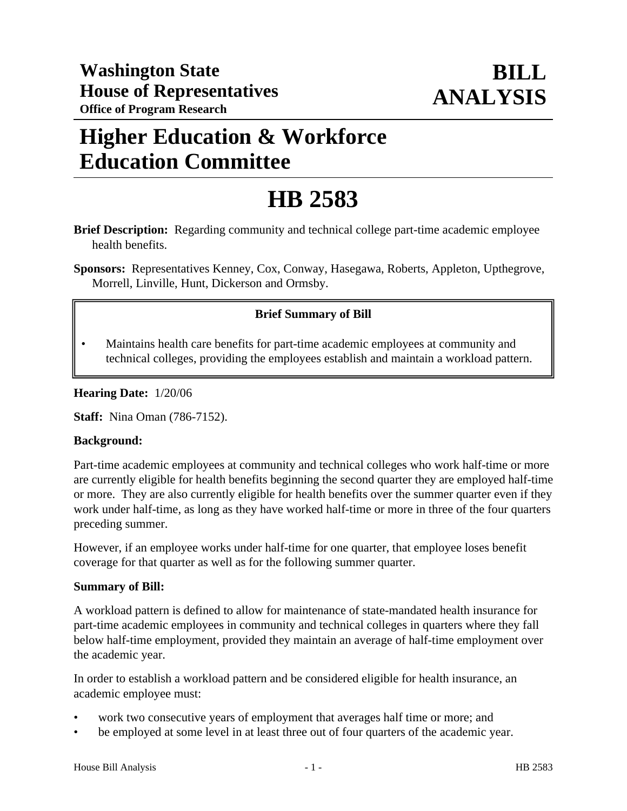# **Higher Education & Workforce Education Committee**

# **HB 2583**

**Brief Description:** Regarding community and technical college part-time academic employee health benefits.

**Sponsors:** Representatives Kenney, Cox, Conway, Hasegawa, Roberts, Appleton, Upthegrove, Morrell, Linville, Hunt, Dickerson and Ormsby.

# **Brief Summary of Bill**

• Maintains health care benefits for part-time academic employees at community and technical colleges, providing the employees establish and maintain a workload pattern.

## **Hearing Date:** 1/20/06

**Staff:** Nina Oman (786-7152).

#### **Background:**

Part-time academic employees at community and technical colleges who work half-time or more are currently eligible for health benefits beginning the second quarter they are employed half-time or more. They are also currently eligible for health benefits over the summer quarter even if they work under half-time, as long as they have worked half-time or more in three of the four quarters preceding summer.

However, if an employee works under half-time for one quarter, that employee loses benefit coverage for that quarter as well as for the following summer quarter.

#### **Summary of Bill:**

A workload pattern is defined to allow for maintenance of state-mandated health insurance for part-time academic employees in community and technical colleges in quarters where they fall below half-time employment, provided they maintain an average of half-time employment over the academic year.

In order to establish a workload pattern and be considered eligible for health insurance, an academic employee must:

- work two consecutive years of employment that averages half time or more; and
- be employed at some level in at least three out of four quarters of the academic year.